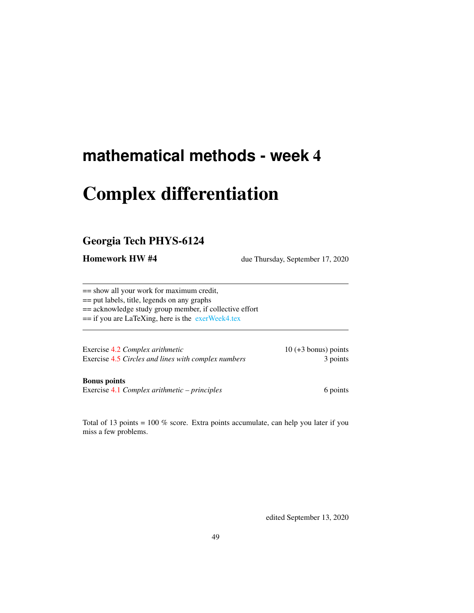# **mathematical methods - week** 4

# Complex differentiation

# Georgia Tech PHYS-6124

**Homework HW #4** due Thursday, September 17, 2020

== show all your work for maximum credit,

== put labels, title, legends on any graphs

== acknowledge study group member, if collective effort

== if you are LaTeXing, here is the [exerWeek4.tex](http://chaosbook.org/~predrag/courses/PHYS-6124-20/exerWeek4.tex)

Exercise [4.2](#page-3-0) *Complex arithmetic* 10 (+3 bonus) points Exercise [4.5](#page-4-0) *Circles and lines with complex numbers* 3 points

Bonus points

Exercise [4.1](#page-2-0) *Complex arithmetic – principles* 6 points 6 points

Total of 13 points = 100 % score. Extra points accumulate, can help you later if you miss a few problems.

edited September 13, 2020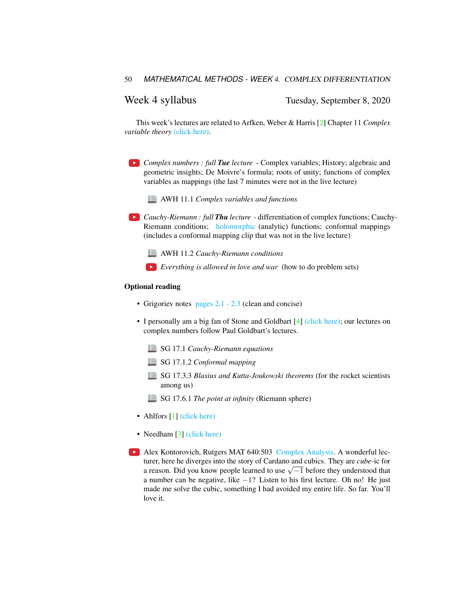Week 4 syllabus Tuesday, September 8, 2020

This week's lectures are related to Arfken, Weber & Harris [\[2\]](#page-2-1) Chapter 11 *Complex variable theory* [\(click here\).](http://ChaosBook.org/library/ArWeHa13chap11.pdf)

- *Complex numbers : full Tue lecture* Complex variables; History; algebraic and geometric insights; De Moivre's formula; roots of unity; functions of complex variables as mappings (the last 7 minutes were not in the live lecture)
	- AWH 11.1 *Complex variables and functions*

*Cauchy-Riemann : full Thu lecture* - differentiation of complex functions; Cauchy-Riemann conditions; [holomorphic](https://twitter.com/AlexKontorovich/status/1304755927665512450) (analytic) functions; conformal mappings (includes a conformal mapping clip that was not in the live lecture)

- AWH 11.2 *Cauchy-Riemann conditions*
- *Everything is allowed in love and war* (how to do problem sets)

## Optional reading

- Grigoriev notes [pages 2.1 2.3](http://ChaosBook.org/~predrag/courses/PHYS-6124-20/ln2.pdf) (clean and concise)
- I personally am a big fan of Stone and Goldbart [\[4\]](#page-2-2) [\(click here\);](http://ChaosBook.org/library/StGoChap17.pdf) our lectures on complex numbers follow Paul Goldbart's lectures.
	- SG 17.1 *Cauchy-Riemann equations*
	- SG 17.1.2 *Conformal mapping*
	- SG 17.3.3 *Blasius and Kutta-Joukowski theorems* (for the rocket scientists among us)
	- SG 17.6.1 *The point at infinity* (Riemann sphere)
- Ahlfors [\[1\]](#page-2-3) [\(click here\)](http://ChaosBook.org/library/Ahlfors53.pdf)
- Needham [\[3\]](#page-2-4) [\(click here\)](http://ChaosBook.org/library/Needham97.pdf)
- Alex Kontorovich, Rutgers MAT 640:503 [Complex Analysis.](https://sites.math.rutgers.edu/~alexk/2020F503/lectures.html) A wonderful lecturer, here he diverges into the story of Cardano and cubics. They are *cube*-ic for turer, nere ne diverges into the story of Cardano and cubics. They are *cube*-tc for a reason. Did you know people learned to use  $\sqrt{-1}$  before they understood that a number can be negative, like −1? Listen to his first lecture. Oh no! He just made me solve the cubic, something I had avoided my entire life. So far. You'll love it.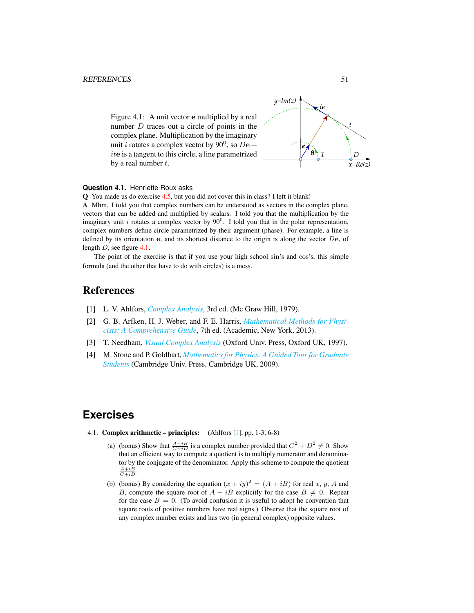<span id="page-2-5"></span>Figure 4.1: A unit vector e multiplied by a real number D traces out a circle of points in the complex plane. Multiplication by the imaginary unit *i* rotates a complex vector by 90<sup>0</sup>, so  $De +$ ite is a tangent to this circle, a line parametrized by a real number  $t$ .



# **Question** 4.1. Henriette Roux asks

Q You made us do exercise [4.5,](#page-4-0) but you did not cover this in class? I left it blank! A Mhm. I told you that complex numbers can be understood as vectors in the complex plane, vectors that can be added and multiplied by scalars. I told you that the multiplication by the imaginary unit i rotates a complex vector by  $90^0$ . I told you that in the polar representation, complex numbers define circle parametrized by their argument (phase). For example, a line is defined by its orientation  $e$ , and its shortest distance to the origin is along the vector  $De$ , of length D, see figure [4.1.](#page-2-5)

The point of the exercise is that if you use your high school sin's and cos's, this simple formula (and the other that have to do with circles) is a mess.

# References

- <span id="page-2-3"></span>[1] L. V. Ahlfors, *[Complex Analysis](http://books.google.com/books?vid=ISBN9780070006577)*, 3rd ed. (Mc Graw Hill, 1979).
- <span id="page-2-1"></span>[2] G. B. Arfken, H. J. Weber, and F. E. Harris, *[Mathematical Methods for Physi](http://books.google.com/books?vid=ISBN9780123846549)[cists: A Comprehensive Guide](http://books.google.com/books?vid=ISBN9780123846549)*, 7th ed. (Academic, New York, 2013).
- <span id="page-2-4"></span>[3] T. Needham, *[Visual Complex Analysis](http://dx.doi.org/10.2307/3618747)* (Oxford Univ. Press, Oxford UK, 1997).
- <span id="page-2-2"></span>[4] M. Stone and P. Goldbart, *[Mathematics for Physics: A Guided Tour for Graduate](http://dx.doi.org/10.1017/cbo9780511627040) [Students](http://dx.doi.org/10.1017/cbo9780511627040)* (Cambridge Univ. Press, Cambridge UK, 2009).

# **Exercises**

- <span id="page-2-0"></span>4.1. Complex arithmetic – principles: (Ahlfors [\[1\]](#page-2-3), pp. 1-3, 6-8)
	- (a) (bonus) Show that  $\frac{A+iB}{C+iD}$  is a complex number provided that  $C^2 + D^2 \neq 0$ . Show that an efficient way to compute a quotient is to multiply numerator and denominator by the conjugate of the denominator. Apply this scheme to compute the quotient  $\frac{A+iB}{C+iD}$ .
	- (b) (bonus) By considering the equation  $(x + iy)^2 = (A + iB)$  for real x, y, A and B, compute the square root of  $A + iB$  explicitly for the case  $B \neq 0$ . Repeat for the case  $B = 0$ . (To avoid confusion it is useful to adopt he convention that square roots of positive numbers have real signs.) Observe that the square root of any complex number exists and has two (in general complex) opposite values.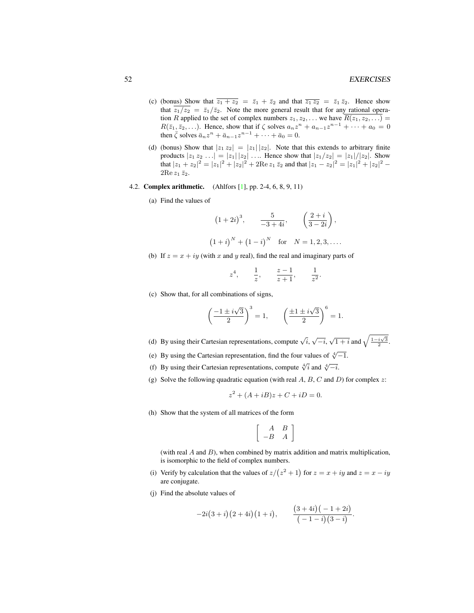- (c) (bonus) Show that  $\overline{z_1 + z_2} = \overline{z_1} + \overline{z_2}$  and that  $\overline{z_1 z_2} = \overline{z_1} \overline{z_2}$ . Hence show that  $\overline{z_1/z_2} = \overline{z_1}/\overline{z_2}$ . Note the more general result that for any rational operation R applied to the set of complex numbers  $z_1, z_2, \ldots$  we have  $R(z_1, z_2, \ldots)$  =  $R(\bar{z}_1, \bar{z}_2, \ldots)$ . Hence, show that if  $\zeta$  solves  $a_n z^n + a_{n-1} z^{n-1} + \cdots + a_0 = 0$ then  $\bar{\zeta}$  solves  $\bar{a}_n z^n + \bar{a}_{n-1} z^{n-1} + \cdots + \bar{a}_0 = 0$ .
- (d) (bonus) Show that  $|z_1 z_2| = |z_1||z_2|$ . Note that this extends to arbitrary finite products  $|z_1 z_2 ...| = |z_1| |z_2| ...$  Hence show that  $|z_1/z_2| = |z_1|/|z_2|$ . Show that  $|z_1 + z_2|^2 = |z_1|^2 + |z_2|^2 + 2\text{Re } z_1 \bar{z}_2$  and that  $|z_1 - z_2|^2 = |z_1|^2 + |z_2|^2 - 2\text{Im } z_1$  $2\text{Re }z_1\,\bar{z}_2.$
- <span id="page-3-0"></span>4.2. Complex arithmetic. (Ahlfors [\[1\]](#page-2-3), pp. 2-4, 6, 8, 9, 11)
	- (a) Find the values of

$$
(1+2i)^3
$$
,  $\frac{5}{-3+4i}$ ,  $\left(\frac{2+i}{3-2i}\right)$ ,  
 $(1+i)^N + (1-i)^N$  for  $N = 1, 2, 3, ...$ 

(b) If  $z = x + iy$  (with x and y real), find the real and imaginary parts of

$$
z^4
$$
,  $\frac{1}{z}$ ,  $\frac{z-1}{z+1}$ ,  $\frac{1}{z^2}$ .

(c) Show that, for all combinations of signs,

$$
\left(\frac{-1 \pm i\sqrt{3}}{2}\right)^3 = 1, \qquad \left(\frac{\pm 1 \pm i\sqrt{3}}{2}\right)^6 = 1.
$$

- (d) By using their Cartesian representations, compute  $\sqrt{i}$ ,  $\sqrt{-i}$ ,  $\sqrt{1+i}$  and  $\sqrt{\frac{1-i\sqrt{3}}{2}}$ .
- (e) By using the Cartesian representation, find the four values of  $\sqrt[4]{-1}$ .
- (f) By using their Cartesian representations, compute  $\sqrt[4]{i}$  and  $\sqrt[4]{-i}$ .
- (g) Solve the following quadratic equation (with real  $A, B, C$  and  $D$ ) for complex  $z$ :

$$
z^2 + (A + iB)z + C + iD = 0.
$$

(h) Show that the system of all matrices of the form

$$
\left[\begin{array}{rr}A&B\\-B&A\end{array}\right]
$$

(with real  $A$  and  $B$ ), when combined by matrix addition and matrix multiplication, is isomorphic to the field of complex numbers.

- (i) Verify by calculation that the values of  $z/(z^2 + 1)$  for  $z = x + iy$  and  $z = x iy$ are conjugate.
- (j) Find the absolute values of

$$
-2i(3+i)(2+4i)(1+i), \qquad \frac{(3+4i)(-1+2i)}{(-1-i)(3-i)}.
$$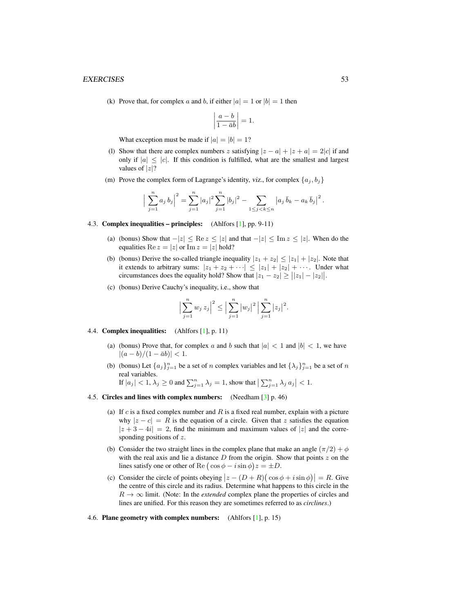## EXERCISES 53

(k) Prove that, for complex a and b, if either  $|a| = 1$  or  $|b| = 1$  then

$$
\left|\frac{a-b}{1-\bar{a}b}\right| = 1.
$$

What exception must be made if  $|a| = |b| = 1$ ?

- (l) Show that there are complex numbers z satisfying  $|z a| + |z + a| = 2|c|$  if and only if  $|a| \leq |c|$ . If this condition is fulfilled, what are the smallest and largest values of  $|z|$ ?
- (m) Prove the complex form of Lagrange's identity, viz., for complex  $\{a_j, b_j\}$

$$
\Big|\sum_{j=1}^n a_j b_j\Big|^2 = \sum_{j=1}^n |a_j|^2 \sum_{j=1}^n |b_j|^2 - \sum_{1 \le j < k \le n} |a_j \overline{b}_k - a_k \overline{b}_j|^2.
$$

### 4.3. Complex inequalities – principles: (Ahlfors [\[1\]](#page-2-3), pp. 9-11)

- (a) (bonus) Show that  $-|z| \leq \text{Re } z \leq |z|$  and that  $-|z| \leq \text{Im } z \leq |z|$ . When do the equalities Re  $z = |z|$  or Im  $z = |z|$  hold?
- (b) (bonus) Derive the so-called triangle inequality  $|z_1 + z_2| \leq |z_1| + |z_2|$ . Note that it extends to arbitrary sums:  $|z_1 + z_2 + \cdots| \leq |z_1| + |z_2| + \cdots$ . Under what circumstances does the equality hold? Show that  $|z_1 - z_2| \geq ||z_1| - |z_2||$ .
- (c) (bonus) Derive Cauchy's inequality, i.e., show that

$$
\Big|\sum_{j=1}^n w_j\, z_j\Big|^2 \le \Big|\sum_{j=1}^n |w_j|^2\, \Big|\sum_{j=1}^n |z_j|^2.
$$

- 4.4. Complex inequalities: (Ahlfors [\[1\]](#page-2-3), p. 11)
	- (a) (bonus) Prove that, for complex a and b such that  $|a| < 1$  and  $|b| < 1$ , we have  $|(a - b)/(1 - \bar{a}b)| < 1.$
	- (b) (bonus) Let  $\{a_j\}_{j=1}^n$  be a set of n complex variables and let  $\{\lambda_j\}_{j=1}^n$  be a set of n real variables.
		- If  $|a_j| < 1$ ,  $\lambda_j \ge 0$  and  $\sum_{j=1}^n \lambda_j = 1$ , show that  $\left| \sum_{j=1}^n \lambda_j a_j \right| < 1$ .
- <span id="page-4-0"></span>4.5. Circles and lines with complex numbers: (Needham [\[3\]](#page-2-4) p. 46)
	- (a) If  $c$  is a fixed complex number and  $R$  is a fixed real number, explain with a picture why  $|z - c| = R$  is the equation of a circle. Given that z satisfies the equation  $|z + 3 - 4i| = 2$ , find the minimum and maximum values of |z| and the corresponding positions of z.
	- (b) Consider the two straight lines in the complex plane that make an angle  $(\pi/2) + \phi$ with the real axis and lie a distance  $D$  from the origin. Show that points  $z$  on the lines satisfy one or other of Re  $(\cos \phi - i \sin \phi)z = \pm D$ .
	- (c) Consider the circle of points obeying  $|z (D + R)(\cos \phi + i \sin \phi)| = R$ . Give the centre of this circle and its radius. Determine what happens to this circle in the  $R \to \infty$  limit. (Note: In the *extended* complex plane the properties of circles and lines are unified. For this reason they are sometimes referred to as *circlines*.)

### 4.6. Plane geometry with complex numbers: (Ahlfors [\[1\]](#page-2-3), p. 15)